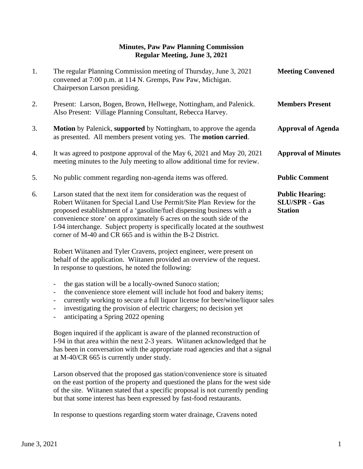## **Minutes, Paw Paw Planning Commission Regular Meeting, June 3, 2021**

| 1. | The regular Planning Commission meeting of Thursday, June 3, 2021<br>convened at 7:00 p.m. at 114 N. Gremps, Paw Paw, Michigan.<br>Chairperson Larson presiding.                                                                                                                                                                                                                                                                           | <b>Meeting Convened</b>                                          |
|----|--------------------------------------------------------------------------------------------------------------------------------------------------------------------------------------------------------------------------------------------------------------------------------------------------------------------------------------------------------------------------------------------------------------------------------------------|------------------------------------------------------------------|
| 2. | Present: Larson, Bogen, Brown, Hellwege, Nottingham, and Palenick.<br>Also Present: Village Planning Consultant, Rebecca Harvey.                                                                                                                                                                                                                                                                                                           | <b>Members Present</b>                                           |
| 3. | <b>Motion</b> by Palenick, supported by Nottingham, to approve the agenda<br>as presented. All members present voting yes. The <b>motion carried</b> .                                                                                                                                                                                                                                                                                     | <b>Approval of Agenda</b>                                        |
| 4. | It was agreed to postpone approval of the May 6, 2021 and May 20, 2021<br>meeting minutes to the July meeting to allow additional time for review.                                                                                                                                                                                                                                                                                         | <b>Approval of Minutes</b>                                       |
| 5. | No public comment regarding non-agenda items was offered.                                                                                                                                                                                                                                                                                                                                                                                  | <b>Public Comment</b>                                            |
| 6. | Larson stated that the next item for consideration was the request of<br>Robert Wiitanen for Special Land Use Permit/Site Plan Review for the<br>proposed establishment of a 'gasoline/fuel dispensing business with a<br>convenience store' on approximately 6 acres on the south side of the<br>I-94 interchange. Subject property is specifically located at the southwest<br>corner of M-40 and CR 665 and is within the B-2 District. | <b>Public Hearing:</b><br><b>SLU/SPR - Gas</b><br><b>Station</b> |
|    | Robert Wijtanen and Tyler Crayens, project engineer, were present on                                                                                                                                                                                                                                                                                                                                                                       |                                                                  |

 Robert Wiitanen and Tyler Cravens, project engineer, were present on behalf of the application. Wiitanen provided an overview of the request. In response to questions, he noted the following:

- the gas station will be a locally-owned Sunoco station;
- the convenience store element will include hot food and bakery items;
- currently working to secure a full liquor license for beer/wine/liquor sales
- investigating the provision of electric chargers; no decision yet
- anticipating a Spring 2022 opening

Bogen inquired if the applicant is aware of the planned reconstruction of I-94 in that area within the next 2-3 years. Wiitanen acknowledged that he has been in conversation with the appropriate road agencies and that a signal at M-40/CR 665 is currently under study.

Larson observed that the proposed gas station/convenience store is situated on the east portion of the property and questioned the plans for the west side of the site. Wiitanen stated that a specific proposal is not currently pending but that some interest has been expressed by fast-food restaurants.

In response to questions regarding storm water drainage, Cravens noted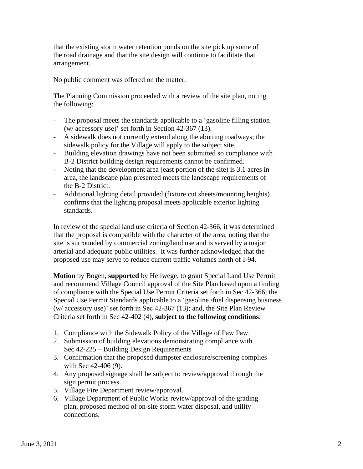that the existing storm water retention ponds on the site pick up some of the road drainage and that the site design will continue to facilitate that arrangement.

No public comment was offered on the matter.

The Planning Commission proceeded with a review of the site plan, noting the following:

- The proposal meets the standards applicable to a 'gasoline filling station (w/ accessory use)' set forth in Section 42-367 (13).
- A sidewalk does not currently extend along the abutting roadways; the sidewalk policy for the Village will apply to the subject site.
- Building elevation drawings have not been submitted so compliance with B-2 District building design requirements cannot be confirmed.
- Noting that the development area (east portion of the site) is 3.1 acres in area, the landscape plan presented meets the landscape requirements of the B-2 District.
- Additional lighting detail provided (fixture cut sheets/mounting heights) confirms that the lighting proposal meets applicable exterior lighting standards.

In review of the special land use criteria of Section 42-366, it was determined that the proposal is compatible with the character of the area, noting that the site is surrounded by commercial zoning/land use and is served by a major arterial and adequate public utilities. It was further acknowledged that the proposed use may serve to reduce current traffic volumes north of I-94.

 **Motion** by Bogen, **supported** by Hellwege, to grant Special Land Use Permit and recommend Village Council approval of the Site Plan based upon a finding of compliance with the Special Use Permit Criteria set forth in Sec 42-366; the Special Use Permit Standards applicable to a 'gasoline /fuel dispensing business (w/ accessory use)' set forth in Sec 42-367 (13); and, the Site Plan Review Criteria set forth in Sec 42-402 (4), **subject to the following conditions**:

- 1. Compliance with the Sidewalk Policy of the Village of Paw Paw.
- 2. Submission of building elevations demonstrating compliance with Sec 42-225 – Building Design Requirements
- 3. Confirmation that the proposed dumpster enclosure/screening complies with Sec 42-406 (9).
- 4. Any proposed signage shall be subject to review/approval through the sign permit process.
- 5. Village Fire Department review/approval.
- 6. Village Department of Public Works review/approval of the grading plan, proposed method of on-site storm water disposal, and utility connections.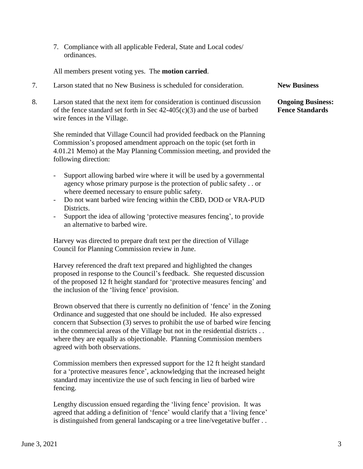7. Compliance with all applicable Federal, State and Local codes/ ordinances.

All members present voting yes. The **motion carried**.

- 7. Larson stated that no New Business is scheduled for consideration. **New Business**
- 8. Larson stated that the next item for consideration is continued discussion **Ongoing Business:** of the fence standard set forth in Sec 42-405(c)(3) and the use of barbed **Fence Standards** wire fences in the Village.

 She reminded that Village Council had provided feedback on the Planning Commission's proposed amendment approach on the topic (set forth in 4.01.21 Memo) at the May Planning Commission meeting, and provided the following direction:

- Support allowing barbed wire where it will be used by a governmental agency whose primary purpose is the protection of public safety . . or where deemed necessary to ensure public safety.
- Do not want barbed wire fencing within the CBD, DOD or VRA-PUD Districts.
- Support the idea of allowing 'protective measures fencing', to provide an alternative to barbed wire.

Harvey was directed to prepare draft text per the direction of Village Council for Planning Commission review in June.

Harvey referenced the draft text prepared and highlighted the changes proposed in response to the Council's feedback. She requested discussion of the proposed 12 ft height standard for 'protective measures fencing' and the inclusion of the 'living fence' provision.

Brown observed that there is currently no definition of 'fence' in the Zoning Ordinance and suggested that one should be included. He also expressed concern that Subsection (3) serves to prohibit the use of barbed wire fencing in the commercial areas of the Village but not in the residential districts . . where they are equally as objectionable. Planning Commission members agreed with both observations.

Commission members then expressed support for the 12 ft height standard for a 'protective measures fence', acknowledging that the increased height standard may incentivize the use of such fencing in lieu of barbed wire fencing.

Lengthy discussion ensued regarding the 'living fence' provision. It was agreed that adding a definition of 'fence' would clarify that a 'living fence' is distinguished from general landscaping or a tree line/vegetative buffer . .